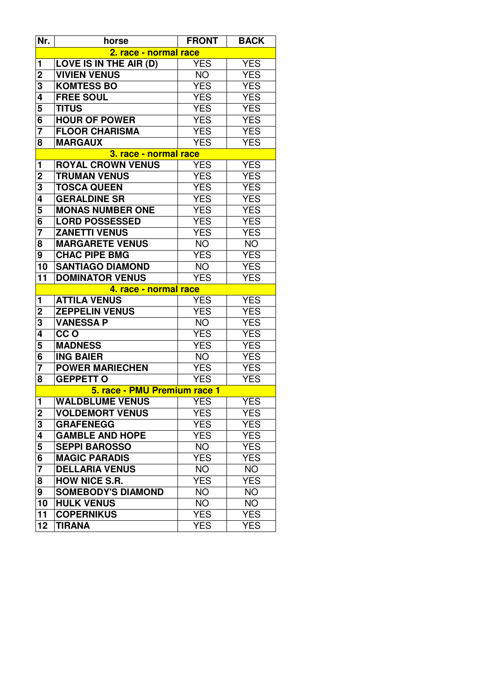| Nr.                          | horse                        | <b>FRONT</b> | <b>BACK</b> |  |  |
|------------------------------|------------------------------|--------------|-------------|--|--|
|                              | 2. race - normal race        |              |             |  |  |
| $\mathbf{1}$                 | LOVE IS IN THE AIR (D)       | <b>YES</b>   | <b>YES</b>  |  |  |
| $\overline{2}$               | <b>VIVIEN VENUS</b>          | <b>NO</b>    | <b>YES</b>  |  |  |
| 3                            | <b>KOMTESS BO</b>            | <b>YES</b>   | <b>YES</b>  |  |  |
| 4                            | <b>FREE SOUL</b>             | <b>YES</b>   | <b>YES</b>  |  |  |
| 5                            | <b>TITUS</b>                 | <b>YES</b>   | <b>YES</b>  |  |  |
| 6                            | <b>HOUR OF POWER</b>         | <b>YES</b>   | <b>YES</b>  |  |  |
| 7                            | <b>FLOOR CHARISMA</b>        | <b>YES</b>   | <b>YES</b>  |  |  |
| 8                            | <b>MARGAUX</b>               | <b>YES</b>   | <b>YES</b>  |  |  |
| <u>3. race - normal race</u> |                              |              |             |  |  |
| $\mathbf{1}$                 | <b>ROYAL CROWN VENUS</b>     | <b>YES</b>   | <b>YES</b>  |  |  |
| $\overline{c}$               | <b>TRUMAN VENUS</b>          | <b>YES</b>   | <b>YES</b>  |  |  |
| 3                            | <b>TOSCA QUEEN</b>           | <b>YES</b>   | <b>YES</b>  |  |  |
| 4                            | <b>GERALDINE SR</b>          | <b>YES</b>   | <b>YES</b>  |  |  |
| 5                            | <b>MONAS NUMBER ONE</b>      | <b>YES</b>   | <b>YES</b>  |  |  |
| 6                            | <b>LORD POSSESSED</b>        | <b>YES</b>   | <b>YES</b>  |  |  |
| $\overline{7}$               | <b>ZANETTI VENUS</b>         | <b>YES</b>   | <b>YES</b>  |  |  |
| 8                            | <b>MARGARETE VENUS</b>       | <b>NO</b>    | <b>NO</b>   |  |  |
| 9                            | <b>CHAC PIPE BMG</b>         | <b>YES</b>   | <b>YES</b>  |  |  |
| 10                           | <b>SANTIAGO DIAMOND</b>      | NO.          | <b>YES</b>  |  |  |
| 11                           | <b>DOMINATOR VENUS</b>       | <b>YES</b>   | <b>YES</b>  |  |  |
|                              | 4. race - normal race        |              |             |  |  |
| $\mathbf{1}$                 | <b>ATTILA VENUS</b>          | <b>YES</b>   | <b>YES</b>  |  |  |
| $\mathbf{2}$                 | <b>ZEPPELIN VENUS</b>        | <b>YES</b>   | <b>YES</b>  |  |  |
| 3                            | <b>VANESSA P</b>             | <b>NO</b>    | <b>YES</b>  |  |  |
| 4                            | CC <sub>O</sub>              | <b>YES</b>   | <b>YES</b>  |  |  |
| 5                            | <b>MADNESS</b>               | <b>YES</b>   | <b>YES</b>  |  |  |
| 6                            | <b>ING BAIER</b>             | <b>NO</b>    | <b>YES</b>  |  |  |
| $\overline{7}$               | <b>POWER MARIECHEN</b>       | <b>YES</b>   | <b>YES</b>  |  |  |
| 8                            | <b>GEPPETT O</b>             | <b>YES</b>   | <b>YES</b>  |  |  |
|                              | 5. race - PMU Premium race 1 |              |             |  |  |
| $\mathbf{1}$                 | <b>WALDBLUME VENUS</b>       | <b>YES</b>   | <b>YES</b>  |  |  |
| $\overline{\mathbf{c}}$      | <b>VOLDEMORT VENUS</b>       | YES          | <b>YES</b>  |  |  |
| 3                            | <b>GRAFENEGG</b>             | <b>YES</b>   | <b>YES</b>  |  |  |
| 4                            | <b>GAMBLE AND HOPE</b>       | <b>YES</b>   | <b>YES</b>  |  |  |
| 5                            | <b>SEPPI BAROSSO</b>         | <b>NO</b>    | <b>YES</b>  |  |  |
| 6                            | <b>MAGIC PARADIS</b>         | YES          | <b>YES</b>  |  |  |
| $\overline{7}$               | <b>DELLARIA VENUS</b>        | <b>NO</b>    | <b>NO</b>   |  |  |
| 8                            | <b>HOW NICE S.R.</b>         | <b>YES</b>   | <b>YES</b>  |  |  |
| 9                            | <b>SOMEBODY'S DIAMOND</b>    | <b>NO</b>    | <b>NO</b>   |  |  |
| 10                           | <b>HULK VENUS</b>            | <b>NO</b>    | <b>NO</b>   |  |  |
| 11                           | <b>COPERNIKUS</b>            | <b>YES</b>   | <b>YES</b>  |  |  |
| 12                           | <b>TIRANA</b>                | YES          | <b>YES</b>  |  |  |